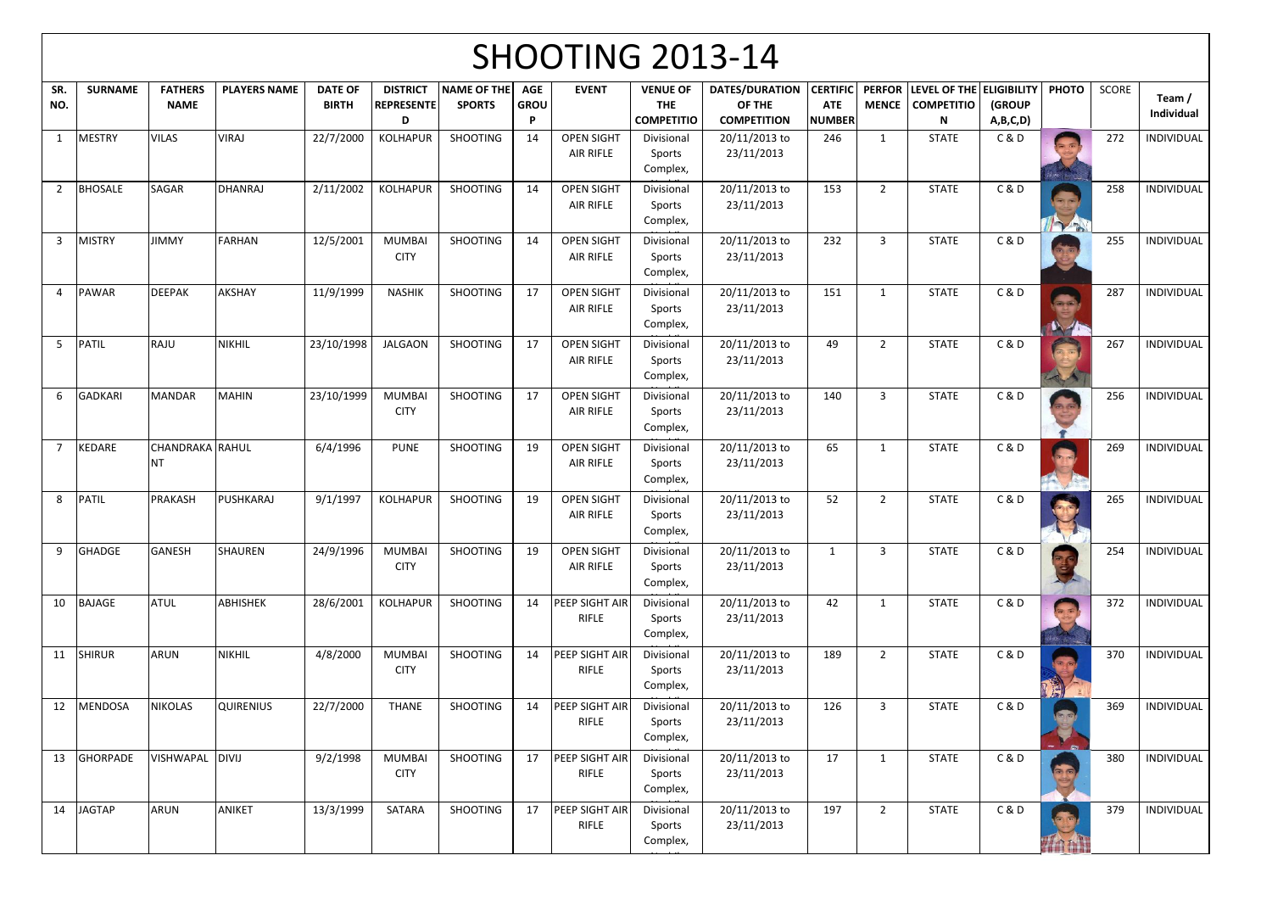## $S$ HOOTING 2012-14

|                |                 |                                     |                     |                                |                                           |                              |                                | <b>SHUUTIING ZUIS-14</b>              |                                                    |                                                       |                                                |                               |                                                    |                           |              |       |                      |
|----------------|-----------------|-------------------------------------|---------------------|--------------------------------|-------------------------------------------|------------------------------|--------------------------------|---------------------------------------|----------------------------------------------------|-------------------------------------------------------|------------------------------------------------|-------------------------------|----------------------------------------------------|---------------------------|--------------|-------|----------------------|
| SR.<br>NO.     | <b>SURNAME</b>  | <b>FATHERS</b><br><b>NAME</b>       | <b>PLAYERS NAME</b> | <b>DATE OF</b><br><b>BIRTH</b> | <b>DISTRICT</b><br><b>REPRESENTE</b><br>D | NAME OF THE<br><b>SPORTS</b> | <b>AGE</b><br><b>GROU</b><br>D | <b>EVENT</b>                          | <b>VENUE OF</b><br><b>THE</b><br><b>COMPETITIO</b> | <b>DATES/DURATION</b><br>OF THE<br><b>COMPETITION</b> | <b>CERTIFIC</b><br><b>ATE</b><br><b>NUMBER</b> | <b>PERFOR</b><br><b>MENCE</b> | LEVEL OF THE ELIGIBILITY<br><b>COMPETITIO</b><br>N | <b>(GROUP</b><br>A,B,C,D) | <b>PHOTO</b> | SCORE | Team /<br>Individual |
|                | <b>MESTRY</b>   | <b>VILAS</b>                        | <b>VIRAJ</b>        | 22/7/2000                      | <b>KOLHAPUR</b>                           | <b>SHOOTING</b>              | 14                             | <b>OPEN SIGHT</b><br>AIR RIFLE        | Divisional<br>Sports<br>Complex,                   | 20/11/2013 to<br>23/11/2013                           | 246                                            | $\mathbf{1}$                  | <b>STATE</b>                                       | C&D                       |              | 272   | INDIVIDUAL           |
| $\overline{2}$ | <b>BHOSALE</b>  | <b>SAGAR</b>                        | <b>DHANRAJ</b>      | 2/11/2002                      | <b>KOLHAPUR</b>                           | SHOOTING                     | 14                             | <b>OPEN SIGHT</b><br>AIR RIFLE        | Divisional<br>Sports<br>Complex,                   | 20/11/2013 to<br>23/11/2013                           | 153                                            | $\overline{2}$                | <b>STATE</b>                                       | C & D                     |              | 258   | <b>INDIVIDUAL</b>    |
| 3              | <b>MISTRY</b>   | <b>JIMMY</b>                        | <b>FARHAN</b>       | 12/5/2001                      | <b>MUMBAI</b><br><b>CITY</b>              | <b>SHOOTING</b>              | 14                             | <b>OPEN SIGHT</b><br>AIR RIFLE        | Divisional<br>Sports<br>Complex,                   | 20/11/2013 to<br>23/11/2013                           | 232                                            | $\overline{3}$                | <b>STATE</b>                                       | C & D                     |              | 255   | INDIVIDUAL           |
|                | <b>PAWAR</b>    | <b>DEEPAK</b>                       | AKSHAY              | 11/9/1999                      | <b>NASHIK</b>                             | <b>SHOOTING</b>              | 17                             | <b>OPEN SIGHT</b><br>AIR RIFLE        | Divisional<br>Sports<br>Complex,                   | 20/11/2013 to<br>23/11/2013                           | 151                                            | 1                             | <b>STATE</b>                                       | C & D                     | $M_{\odot}$  | 287   | <b>INDIVIDUAL</b>    |
| 5              | PATIL           | RAJU                                | <b>NIKHIL</b>       | 23/10/1998                     | <b>JALGAON</b>                            | <b>SHOOTING</b>              | 17                             | <b>OPEN SIGHT</b><br>AIR RIFLE        | Divisional<br>Sports<br>Complex,                   | 20/11/2013 to<br>23/11/2013                           | 49                                             | $\overline{2}$                | <b>STATE</b>                                       | C & D                     |              | 267   | INDIVIDUAL           |
| 6              | <b>GADKARI</b>  | MANDAR                              | <b>MAHIN</b>        | 23/10/1999                     | <b>MUMBAI</b><br><b>CITY</b>              | <b>SHOOTING</b>              | 17                             | <b>OPEN SIGHT</b><br>AIR RIFLE        | Divisional<br>Sports<br>Complex,                   | 20/11/2013 to<br>23/11/2013                           | 140                                            | 3                             | <b>STATE</b>                                       | C&D                       |              | 256   | INDIVIDUAL           |
| $\overline{7}$ | KEDARE          | <b>CHANDRAKA RAHUL</b><br><b>NT</b> |                     | 6/4/1996                       | <b>PUNE</b>                               | <b>SHOOTING</b>              | 19                             | <b>OPEN SIGHT</b><br>AIR RIFLE        | Divisional<br>Sports<br>Complex,                   | 20/11/2013 to<br>23/11/2013                           | 65                                             | 1                             | <b>STATE</b>                                       | C&D                       |              | 269   | INDIVIDUAL           |
| 8              | <b>PATIL</b>    | PRAKASH                             | PUSHKARAJ           | 9/1/1997                       | <b>KOLHAPUR</b>                           | <b>SHOOTING</b>              | 19                             | <b>OPEN SIGHT</b><br>AIR RIFLE        | Divisional<br>Sports<br>Complex,                   | 20/11/2013 to<br>23/11/2013                           | 52                                             | $\overline{2}$                | <b>STATE</b>                                       | C&D                       |              | 265   | <b>INDIVIDUAL</b>    |
| 9              | <b>GHADGE</b>   | <b>GANESH</b>                       | <b>SHAUREN</b>      | 24/9/1996                      | <b>MUMBAI</b><br><b>CITY</b>              | <b>SHOOTING</b>              | 19                             | <b>OPEN SIGHT</b><br>AIR RIFLE        | Divisional<br>Sports<br>Complex,                   | 20/11/2013 to<br>23/11/2013                           | $\mathbf{1}$                                   | 3                             | <b>STATE</b>                                       | C & D                     |              | 254   | INDIVIDUAL           |
| 10             | BAJAGE          | <b>ATUL</b>                         | <b>ABHISHEK</b>     | 28/6/2001                      | <b>KOLHAPUR</b>                           | SHOOTING                     | 14                             | <b>PEEP SIGHT AIR</b><br>RIFLE        | Divisional<br>Sports<br>Complex,                   | 20/11/2013 to<br>23/11/2013                           | 42                                             | $\mathbf{1}$                  | <b>STATE</b>                                       | <b>C&amp;D</b>            |              | 372   | INDIVIDUAL           |
| 11             | <b>SHIRUR</b>   | <b>ARUN</b>                         | <b>NIKHIL</b>       | 4/8/2000                       | <b>MUMBAI</b><br><b>CITY</b>              | <b>SHOOTING</b>              | 14                             | <b>PEEP SIGHT AIR</b><br>RIFLE        | Divisional<br>Sports<br>Complex,                   | 20/11/2013 to<br>23/11/2013                           | 189                                            | $\overline{2}$                | <b>STATE</b>                                       | C & D                     |              | 370   | <b>INDIVIDUAL</b>    |
| 12             | <b>MENDOSA</b>  | <b>NIKOLAS</b>                      | QUIRENIUS           | 22/7/2000                      | <b>THANE</b>                              | <b>SHOOTING</b>              | 14                             | <b>PEEP SIGHT AIR</b><br><b>RIFLE</b> | Divisional<br>Sports<br>Complex,                   | 20/11/2013 to<br>23/11/2013                           | 126                                            | $\mathbf{3}$                  | <b>STATE</b>                                       | C & D                     |              | 369   | <b>INDIVIDUAL</b>    |
| 13             | <b>GHORPADE</b> | <b>VISHWAPAL</b>                    | <b>DIVIJ</b>        | 9/2/1998                       | <b>MUMBAI</b><br><b>CITY</b>              | <b>SHOOTING</b>              | 17                             | PEEP SIGHT AIR<br><b>RIFLE</b>        | Divisional<br>Sports<br>Complex,                   | 20/11/2013 to<br>23/11/2013                           | 17                                             | $\mathbf{1}$                  | <b>STATE</b>                                       | <b>C&amp;D</b>            | $= 6$        | 380   | INDIVIDUAL           |
| 14             | <b>JAGTAP</b>   | <b>ARUN</b>                         | ANIKET              | 13/3/1999                      | SATARA                                    | SHOOTING                     | 17                             | <b>PEEP SIGHT AIR</b><br><b>RIFLE</b> | Divisional<br>Sports<br>Complex,                   | 20/11/2013 to<br>23/11/2013                           | 197                                            | $\overline{2}$                | <b>STATE</b>                                       | <b>C&amp;D</b>            |              | 379   | INDIVIDUAL           |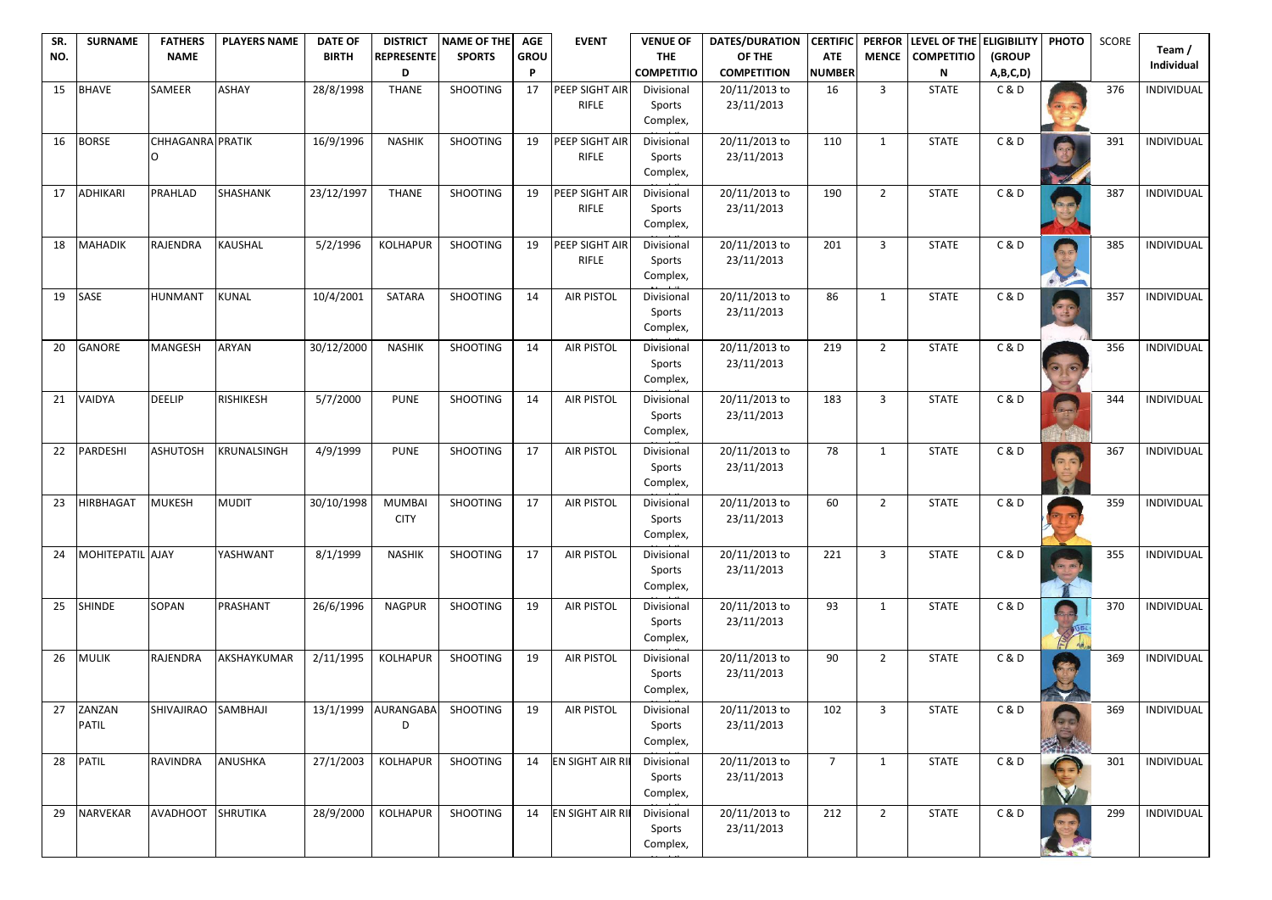| SR.<br>NO. | <b>SURNAME</b>         | <b>FATHERS</b><br><b>NAME</b> | <b>PLAYERS NAME</b> | <b>DATE OF</b><br><b>BIRTH</b> | <b>DISTRICT</b><br><b>REPRESENTE</b> | <b>NAME OF THE</b><br><b>SPORTS</b> | <b>AGE</b><br><b>GROU</b> | <b>EVENT</b>                          | <b>VENUE OF</b><br><b>THE</b>    | <b>DATES/DURATION</b><br>OF THE | <b>CERTIFIC</b><br><b>ATE</b> | <b>PERFOR</b><br><b>MENCE</b> | LEVEL OF THE<br><b>COMPETITIO</b> | <b>ELIGIBILITY</b><br>(GROUP | <b>PHOTO</b>                   | <b>SCORE</b> | Team/             |
|------------|------------------------|-------------------------------|---------------------|--------------------------------|--------------------------------------|-------------------------------------|---------------------------|---------------------------------------|----------------------------------|---------------------------------|-------------------------------|-------------------------------|-----------------------------------|------------------------------|--------------------------------|--------------|-------------------|
|            |                        |                               |                     |                                | D                                    |                                     | P                         |                                       | <b>COMPETITIO</b>                | <b>COMPETITION</b>              | <b>NUMBER</b>                 |                               | ${\sf N}$                         | A,B,C,D)                     |                                |              | <b>Individual</b> |
| 15         | <b>BHAVE</b>           | <b>SAMEER</b>                 | <b>ASHAY</b>        | 28/8/1998                      | <b>THANE</b>                         | <b>SHOOTING</b>                     | 17                        | <b>PEEP SIGHT AIR</b><br><b>RIFLE</b> | Divisional<br>Sports<br>Complex, | 20/11/2013 to<br>23/11/2013     | 16                            | $\mathbf{3}$                  | <b>STATE</b>                      | C&D                          |                                | 376          | INDIVIDUAL        |
| 16         | <b>BORSE</b>           | <b>CHHAGANRA PRATIK</b>       |                     | 16/9/1996                      | <b>NASHIK</b>                        | <b>SHOOTING</b>                     | 19                        | PEEP SIGHT AIR<br><b>RIFLE</b>        | Divisional<br>Sports<br>Complex, | 20/11/2013 to<br>23/11/2013     | 110                           | $\mathbf{1}$                  | <b>STATE</b>                      | C&D                          |                                | 391          | INDIVIDUAL        |
| 17         | <b>ADHIKARI</b>        | PRAHLAD                       | <b>SHASHANK</b>     | 23/12/1997                     | <b>THANE</b>                         | <b>SHOOTING</b>                     | 19                        | PEEP SIGHT AIR<br><b>RIFLE</b>        | Divisional<br>Sports<br>Complex, | 20/11/2013 to<br>23/11/2013     | 190                           | $\overline{2}$                | <b>STATE</b>                      | C&D                          |                                | 387          | INDIVIDUAL        |
| 18         | <b>MAHADIK</b>         | <b>RAJENDRA</b>               | <b>KAUSHAL</b>      | 5/2/1996                       | <b>KOLHAPUR</b>                      | <b>SHOOTING</b>                     | 19                        | PEEP SIGHT AIR<br><b>RIFLE</b>        | Divisional<br>Sports<br>Complex, | 20/11/2013 to<br>23/11/2013     | 201                           | 3                             | <b>STATE</b>                      | C&D                          |                                | 385          | INDIVIDUAL        |
| 19         | <b>SASE</b>            | HUNMANT                       | KUNAL               | 10/4/2001                      | <b>SATARA</b>                        | <b>SHOOTING</b>                     | 14                        | <b>AIR PISTOL</b>                     | Divisional<br>Sports<br>Complex, | 20/11/2013 to<br>23/11/2013     | 86                            | 1                             | <b>STATE</b>                      | C&D                          |                                | 357          | INDIVIDUAL        |
| 20         | <b>GANORE</b>          | <b>MANGESH</b>                | <b>ARYAN</b>        | 30/12/2000                     | <b>NASHIK</b>                        | <b>SHOOTING</b>                     | 14                        | <b>AIR PISTOL</b>                     | Divisional<br>Sports<br>Complex, | 20/11/2013 to<br>23/11/2013     | 219                           | $2^{\circ}$                   | <b>STATE</b>                      | C&D                          | $\bullet$                      | 356          | INDIVIDUAL        |
| 21         | VAIDYA                 | <b>DEELIP</b>                 | <b>RISHIKESH</b>    | 5/7/2000                       | <b>PUNE</b>                          | <b>SHOOTING</b>                     | 14                        | <b>AIR PISTOL</b>                     | Divisional<br>Sports<br>Complex, | 20/11/2013 to<br>23/11/2013     | 183                           | 3                             | <b>STATE</b>                      | C&D                          | <b>Allen</b>                   | 344          | <b>INDIVIDUAL</b> |
| 22         | PARDESHI               | <b>ASHUTOSH</b>               | <b>KRUNALSINGH</b>  | 4/9/1999                       | <b>PUNE</b>                          | <b>SHOOTING</b>                     | 17                        | <b>AIR PISTOL</b>                     | Divisional<br>Sports<br>Complex, | 20/11/2013 to<br>23/11/2013     | 78                            | 1                             | <b>STATE</b>                      | C & D                        | $= 10$                         | 367          | INDIVIDUAL        |
| 23         | <b>HIRBHAGAT</b>       | <b>MUKESH</b>                 | <b>MUDIT</b>        | 30/10/1998                     | <b>MUMBAI</b><br><b>CITY</b>         | <b>SHOOTING</b>                     | 17                        | <b>AIR PISTOL</b>                     | Divisional<br>Sports<br>Complex, | 20/11/2013 to<br>23/11/2013     | 60                            | $\overline{2}$                | <b>STATE</b>                      | C&D                          |                                | 359          | INDIVIDUAL        |
| 24         | MOHITEPATIL AJAY       |                               | YASHWANT            | 8/1/1999                       | <b>NASHIK</b>                        | <b>SHOOTING</b>                     | 17                        | <b>AIR PISTOL</b>                     | Divisional<br>Sports<br>Complex, | 20/11/2013 to<br>23/11/2013     | 221                           | $\overline{3}$                | <b>STATE</b>                      | C&D                          |                                | 355          | INDIVIDUAL        |
| 25         | <b>SHINDE</b>          | SOPAN                         | PRASHANT            | 26/6/1996                      | <b>NAGPUR</b>                        | <b>SHOOTING</b>                     | 19                        | <b>AIR PISTOL</b>                     | Divisional<br>Sports<br>Complex, | 20/11/2013 to<br>23/11/2013     | 93                            | 1                             | <b>STATE</b>                      | C&D                          |                                | 370          | INDIVIDUAL        |
| 26         | <b>MULIK</b>           | <b>RAJENDRA</b>               | AKSHAYKUMAR         | 2/11/1995                      | <b>KOLHAPUR</b>                      | <b>SHOOTING</b>                     | 19                        | <b>AIR PISTOL</b>                     | Divisional<br>Sports<br>Complex, | 20/11/2013 to<br>23/11/2013     | 90                            | $\overline{2}$                | <b>STATE</b>                      | C&D                          |                                | 369          | INDIVIDUAL        |
| 27         | ZANZAN<br><b>PATIL</b> | <b>SHIVAJIRAO</b>             | SAMBHAJI            | 13/1/1999                      | AURANGABA<br>D                       | <b>SHOOTING</b>                     | 19                        | <b>AIR PISTOL</b>                     | Divisional<br>Sports<br>Complex, | 20/11/2013 to<br>23/11/2013     | 102                           | $\overline{3}$                | <b>STATE</b>                      | C&D                          | <b>PANEL</b>                   | 369          | INDIVIDUAL        |
| 28         | <b>PATIL</b>           | <b>RAVINDRA</b>               | ANUSHKA             | 27/1/2003                      | <b>KOLHAPUR</b>                      | SHOOTING                            | 14                        | EN SIGHT AIR RI                       | Divisional<br>Sports<br>Complex, | 20/11/2013 to<br>23/11/2013     | $\overline{7}$                | 1                             | <b>STATE</b>                      | C&D                          | W                              | 301          | INDIVIDUAL        |
| 29         | NARVEKAR               | <b>AVADHOOT</b>               | <b>SHRUTIKA</b>     | 28/9/2000                      | KOLHAPUR                             | <b>SHOOTING</b>                     | 14                        | EN SIGHT AIR RI                       | Divisional<br>Sports<br>Complex, | 20/11/2013 to<br>23/11/2013     | 212                           | $\overline{2}$                | <b>STATE</b>                      | C&D                          | $\left( n-\frac{1}{2} \right)$ | 299          | INDIVIDUAL        |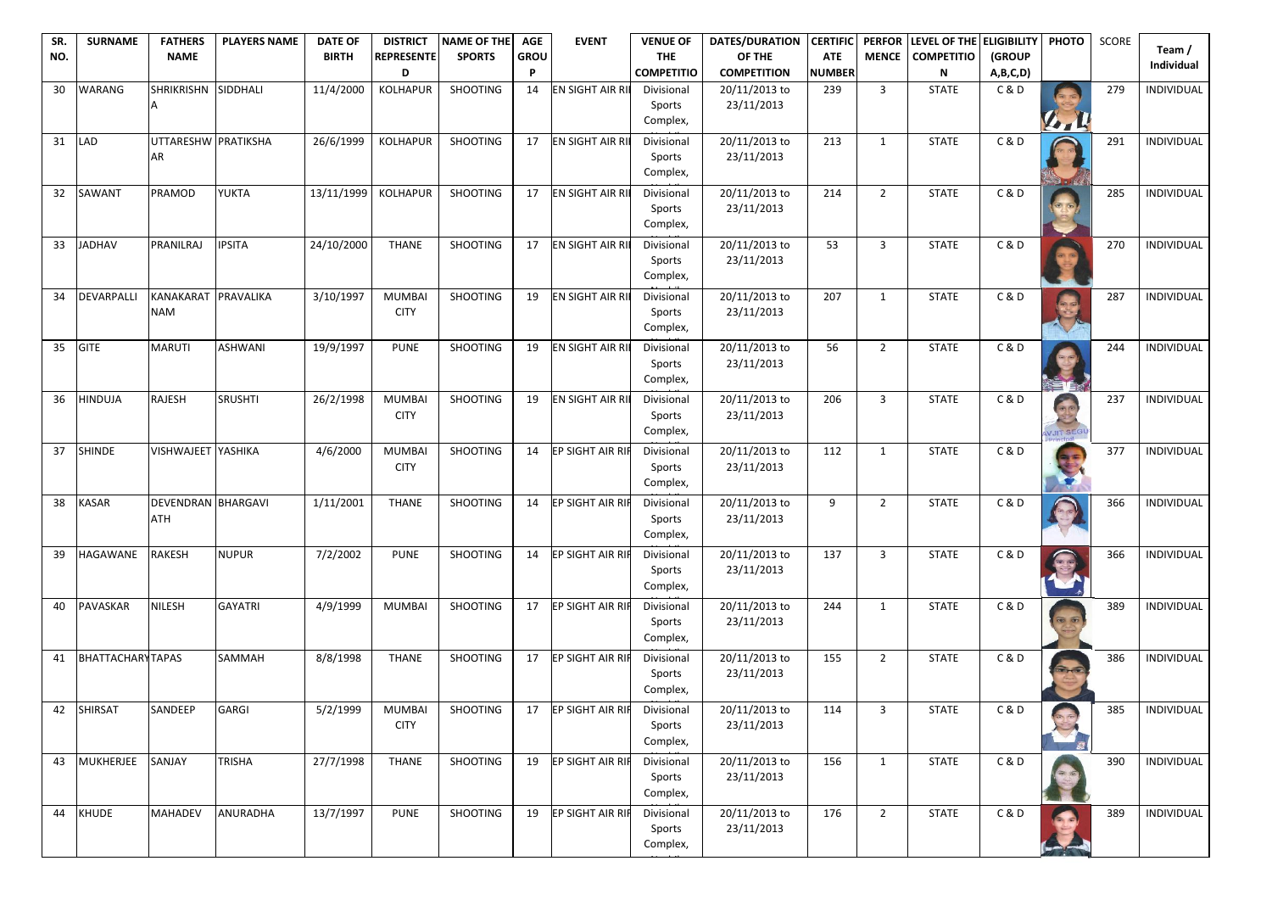| <b>COMPETITIO</b><br><b>COMPETITION</b><br><b>NUMBER</b><br>${\sf N}$<br>D<br>P<br>A,B,C,D)<br>30<br>11/4/2000<br><b>KOLHAPUR</b><br><b>SHOOTING</b><br>EN SIGHT AIR RI<br><b>WARANG</b><br><b>SHRIKRISHN</b><br>SIDDHALI<br>$\mathbf{3}$<br><b>STATE</b><br>C&D<br>279<br>14<br>Divisional<br>20/11/2013 to<br>239<br>23/11/2013<br>Sports<br>Complex,<br>141<br>31<br>UTTARESHW PRATIKSHA<br>26/6/1999<br><b>SHOOTING</b><br>EN SIGHT AIR RI<br><b>KOLHAPUR</b><br>17<br>20/11/2013 to<br><b>STATE</b><br>C&D<br>291<br><b>LAD</b><br>Divisional<br>213<br>$\mathbf{1}$<br>23/11/2013<br><b>IAR</b><br>Sports<br>Complex,<br>32<br>PRAMOD<br><b>YUKTA</b><br>13/11/1999<br><b>KOLHAPUR</b><br><b>SHOOTING</b><br>EN SIGHT AIR RI<br>20/11/2013 to<br><b>STATE</b><br>C&D<br><b>SAWANT</b><br>17<br>Divisional<br>214<br>$\overline{2}$<br>285<br>23/11/2013<br>Sports<br>Complex,<br>33<br><b>PSITA</b><br>24/10/2000<br>20/11/2013 to<br><b>C&amp;D</b><br><b>JADHAV</b><br>PRANILRAJ<br><b>THANE</b><br><b>SHOOTING</b><br>17<br><b>EN SIGHT AIR RI</b><br>Divisional<br>53<br><b>STATE</b><br>270<br>3<br>23/11/2013<br>Sports<br>Complex,<br>34<br>KANAKARAT<br>PRAVALIKA<br>3/10/1997<br><b>SHOOTING</b><br>EN SIGHT AIR RI<br>20/11/2013 to<br>C&D<br>287<br><b>DEVARPALLI</b><br><b>MUMBAI</b><br>19<br>Divisional<br>207<br><b>STATE</b><br>-1<br>23/11/2013<br><b>NAM</b><br><b>CITY</b><br>Sports<br>Complex,<br>35<br><b>MARUTI</b><br><b>ASHWANI</b><br>19/9/1997<br><b>SHOOTING</b><br>EN SIGHT AIR RI<br>20/11/2013 to<br><b>C&amp;D</b><br><b>GITE</b><br><b>PUNE</b><br>19<br>Divisional<br>56<br>$\overline{2}$<br><b>STATE</b><br>244<br>23/11/2013<br>Sports<br>Complex,<br>26/2/1998<br><b>SHOOTING</b><br>EN SIGHT AIR RI<br>20/11/2013 to<br>36<br><b>HINDUJA</b><br><b>RAJESH</b><br><b>SRUSHTI</b><br><b>MUMBA</b><br><b>STATE</b><br>C&D<br>19<br>Divisional<br>206<br>3<br>237<br><b>COLOR</b><br>23/11/2013<br><b>CITY</b><br>Sports<br>Complex,<br>WJIT SEGL<br>37<br><b>SHINDE</b><br><b>YASHIKA</b><br><b>SHOOTING</b><br>EP SIGHT AIR RII<br>C & D<br><b>VISHWAJEET</b><br>4/6/2000<br><b>MUMBA</b><br>Divisional<br>20/11/2013 to<br><b>STATE</b><br>14<br>112<br>377<br>$\mathbf{1}$<br>23/11/2013<br><b>CITY</b><br>Sports<br>Complex,<br>A<br>38<br><b>SHOOTING</b><br><b>KASAR</b><br>DEVENDRAN BHARGAVI<br>1/11/2001<br><b>THANE</b><br><b>EP SIGHT AIR RIF</b><br>Divisional<br>20/11/2013 to<br><b>STATE</b><br>C&D<br>366<br>14<br>9<br>$\overline{2}$<br><b>ATH</b><br>23/11/2013<br>Sports<br>Complex,<br><b>NUPUR</b><br>7/2/2002<br><b>SHOOTING</b><br>20/11/2013 to<br>C&D<br>39<br><b>HAGAWANE</b><br><b>RAKESH</b><br><b>PUNE</b><br>EP SIGHT AIR RIF<br>Divisional<br>137<br>$\overline{3}$<br><b>STATE</b><br>14<br>366<br>23/11/2013<br>Sports<br>Complex,<br><b>SHOOTING</b><br>PAVASKAR<br><b>NILESH</b><br><b>GAYATRI</b><br>4/9/1999<br><b>MUMBAI</b><br><b>EP SIGHT AIR RIF</b><br>Divisional<br>20/11/2013 to<br><b>STATE</b><br>C&D<br>389<br>40<br>17<br>244<br>1<br><b>Red Cor</b><br>23/11/2013<br>Sports<br>Complex,<br><b>BHATTACHARYTAPAS</b><br><b>SHOOTING</b><br>C & D<br>8/8/1998<br><b>THANE</b><br><b>EP SIGHT AIR RIF</b><br>Divisional<br>20/11/2013 to<br>$\overline{2}$<br><b>STATE</b><br>386<br><b>SAMMAH</b><br>17<br>155<br>41<br>23/11/2013<br>Sports | SR. | <b>SURNAME</b> | <b>FATHERS</b> | <b>PLAYERS NAME</b> | <b>DATE OF</b> | <b>DISTRICT</b>   | <b>NAME OF THE</b> | <b>AGE</b>  | <b>EVENT</b> | <b>VENUE OF</b> | <b>DATES/DURATION</b> | <b>CERTIFIC</b> | <b>PERFOR</b> | LEVEL OF THE      | <b>ELIGIBILITY</b> | <b>PHOTO</b> | <b>SCORE</b> | Team/             |
|---------------------------------------------------------------------------------------------------------------------------------------------------------------------------------------------------------------------------------------------------------------------------------------------------------------------------------------------------------------------------------------------------------------------------------------------------------------------------------------------------------------------------------------------------------------------------------------------------------------------------------------------------------------------------------------------------------------------------------------------------------------------------------------------------------------------------------------------------------------------------------------------------------------------------------------------------------------------------------------------------------------------------------------------------------------------------------------------------------------------------------------------------------------------------------------------------------------------------------------------------------------------------------------------------------------------------------------------------------------------------------------------------------------------------------------------------------------------------------------------------------------------------------------------------------------------------------------------------------------------------------------------------------------------------------------------------------------------------------------------------------------------------------------------------------------------------------------------------------------------------------------------------------------------------------------------------------------------------------------------------------------------------------------------------------------------------------------------------------------------------------------------------------------------------------------------------------------------------------------------------------------------------------------------------------------------------------------------------------------------------------------------------------------------------------------------------------------------------------------------------------------------------------------------------------------------------------------------------------------------------------------------------------------------------------------------------------------------------------------------------------------------------------------------------------------------------------------------------------------------------------------------------------------------------------------------------------------------------------------------------------------------------------------------------------------------------------------------------------------------------------------------------------------------------------------------------------------------------------------------------------------------------------------------------------------------------------------|-----|----------------|----------------|---------------------|----------------|-------------------|--------------------|-------------|--------------|-----------------|-----------------------|-----------------|---------------|-------------------|--------------------|--------------|--------------|-------------------|
|                                                                                                                                                                                                                                                                                                                                                                                                                                                                                                                                                                                                                                                                                                                                                                                                                                                                                                                                                                                                                                                                                                                                                                                                                                                                                                                                                                                                                                                                                                                                                                                                                                                                                                                                                                                                                                                                                                                                                                                                                                                                                                                                                                                                                                                                                                                                                                                                                                                                                                                                                                                                                                                                                                                                                                                                                                                                                                                                                                                                                                                                                                                                                                                                                                                                                                                                       | NO. |                | <b>NAME</b>    |                     | <b>BIRTH</b>   | <b>REPRESENTE</b> | <b>SPORTS</b>      | <b>GROU</b> |              | <b>THE</b>      | OF THE                | <b>ATE</b>      | <b>MENCE</b>  | <b>COMPETITIO</b> | (GROUP             |              |              | <b>Individual</b> |
|                                                                                                                                                                                                                                                                                                                                                                                                                                                                                                                                                                                                                                                                                                                                                                                                                                                                                                                                                                                                                                                                                                                                                                                                                                                                                                                                                                                                                                                                                                                                                                                                                                                                                                                                                                                                                                                                                                                                                                                                                                                                                                                                                                                                                                                                                                                                                                                                                                                                                                                                                                                                                                                                                                                                                                                                                                                                                                                                                                                                                                                                                                                                                                                                                                                                                                                                       |     |                |                |                     |                |                   |                    |             |              |                 |                       |                 |               |                   |                    |              |              | INDIVIDUAL        |
|                                                                                                                                                                                                                                                                                                                                                                                                                                                                                                                                                                                                                                                                                                                                                                                                                                                                                                                                                                                                                                                                                                                                                                                                                                                                                                                                                                                                                                                                                                                                                                                                                                                                                                                                                                                                                                                                                                                                                                                                                                                                                                                                                                                                                                                                                                                                                                                                                                                                                                                                                                                                                                                                                                                                                                                                                                                                                                                                                                                                                                                                                                                                                                                                                                                                                                                                       |     |                |                |                     |                |                   |                    |             |              |                 |                       |                 |               |                   |                    |              |              |                   |
|                                                                                                                                                                                                                                                                                                                                                                                                                                                                                                                                                                                                                                                                                                                                                                                                                                                                                                                                                                                                                                                                                                                                                                                                                                                                                                                                                                                                                                                                                                                                                                                                                                                                                                                                                                                                                                                                                                                                                                                                                                                                                                                                                                                                                                                                                                                                                                                                                                                                                                                                                                                                                                                                                                                                                                                                                                                                                                                                                                                                                                                                                                                                                                                                                                                                                                                                       |     |                |                |                     |                |                   |                    |             |              |                 |                       |                 |               |                   |                    |              |              | INDIVIDUAL        |
|                                                                                                                                                                                                                                                                                                                                                                                                                                                                                                                                                                                                                                                                                                                                                                                                                                                                                                                                                                                                                                                                                                                                                                                                                                                                                                                                                                                                                                                                                                                                                                                                                                                                                                                                                                                                                                                                                                                                                                                                                                                                                                                                                                                                                                                                                                                                                                                                                                                                                                                                                                                                                                                                                                                                                                                                                                                                                                                                                                                                                                                                                                                                                                                                                                                                                                                                       |     |                |                |                     |                |                   |                    |             |              |                 |                       |                 |               |                   |                    |              |              |                   |
|                                                                                                                                                                                                                                                                                                                                                                                                                                                                                                                                                                                                                                                                                                                                                                                                                                                                                                                                                                                                                                                                                                                                                                                                                                                                                                                                                                                                                                                                                                                                                                                                                                                                                                                                                                                                                                                                                                                                                                                                                                                                                                                                                                                                                                                                                                                                                                                                                                                                                                                                                                                                                                                                                                                                                                                                                                                                                                                                                                                                                                                                                                                                                                                                                                                                                                                                       |     |                |                |                     |                |                   |                    |             |              |                 |                       |                 |               |                   |                    |              |              | INDIVIDUAL        |
|                                                                                                                                                                                                                                                                                                                                                                                                                                                                                                                                                                                                                                                                                                                                                                                                                                                                                                                                                                                                                                                                                                                                                                                                                                                                                                                                                                                                                                                                                                                                                                                                                                                                                                                                                                                                                                                                                                                                                                                                                                                                                                                                                                                                                                                                                                                                                                                                                                                                                                                                                                                                                                                                                                                                                                                                                                                                                                                                                                                                                                                                                                                                                                                                                                                                                                                                       |     |                |                |                     |                |                   |                    |             |              |                 |                       |                 |               |                   |                    |              |              |                   |
|                                                                                                                                                                                                                                                                                                                                                                                                                                                                                                                                                                                                                                                                                                                                                                                                                                                                                                                                                                                                                                                                                                                                                                                                                                                                                                                                                                                                                                                                                                                                                                                                                                                                                                                                                                                                                                                                                                                                                                                                                                                                                                                                                                                                                                                                                                                                                                                                                                                                                                                                                                                                                                                                                                                                                                                                                                                                                                                                                                                                                                                                                                                                                                                                                                                                                                                                       |     |                |                |                     |                |                   |                    |             |              |                 |                       |                 |               |                   |                    |              |              | INDIVIDUAL        |
|                                                                                                                                                                                                                                                                                                                                                                                                                                                                                                                                                                                                                                                                                                                                                                                                                                                                                                                                                                                                                                                                                                                                                                                                                                                                                                                                                                                                                                                                                                                                                                                                                                                                                                                                                                                                                                                                                                                                                                                                                                                                                                                                                                                                                                                                                                                                                                                                                                                                                                                                                                                                                                                                                                                                                                                                                                                                                                                                                                                                                                                                                                                                                                                                                                                                                                                                       |     |                |                |                     |                |                   |                    |             |              |                 |                       |                 |               |                   |                    |              |              |                   |
|                                                                                                                                                                                                                                                                                                                                                                                                                                                                                                                                                                                                                                                                                                                                                                                                                                                                                                                                                                                                                                                                                                                                                                                                                                                                                                                                                                                                                                                                                                                                                                                                                                                                                                                                                                                                                                                                                                                                                                                                                                                                                                                                                                                                                                                                                                                                                                                                                                                                                                                                                                                                                                                                                                                                                                                                                                                                                                                                                                                                                                                                                                                                                                                                                                                                                                                                       |     |                |                |                     |                |                   |                    |             |              |                 |                       |                 |               |                   |                    |              |              | INDIVIDUAL        |
|                                                                                                                                                                                                                                                                                                                                                                                                                                                                                                                                                                                                                                                                                                                                                                                                                                                                                                                                                                                                                                                                                                                                                                                                                                                                                                                                                                                                                                                                                                                                                                                                                                                                                                                                                                                                                                                                                                                                                                                                                                                                                                                                                                                                                                                                                                                                                                                                                                                                                                                                                                                                                                                                                                                                                                                                                                                                                                                                                                                                                                                                                                                                                                                                                                                                                                                                       |     |                |                |                     |                |                   |                    |             |              |                 |                       |                 |               |                   |                    |              |              |                   |
|                                                                                                                                                                                                                                                                                                                                                                                                                                                                                                                                                                                                                                                                                                                                                                                                                                                                                                                                                                                                                                                                                                                                                                                                                                                                                                                                                                                                                                                                                                                                                                                                                                                                                                                                                                                                                                                                                                                                                                                                                                                                                                                                                                                                                                                                                                                                                                                                                                                                                                                                                                                                                                                                                                                                                                                                                                                                                                                                                                                                                                                                                                                                                                                                                                                                                                                                       |     |                |                |                     |                |                   |                    |             |              |                 |                       |                 |               |                   |                    |              |              | INDIVIDUAL        |
|                                                                                                                                                                                                                                                                                                                                                                                                                                                                                                                                                                                                                                                                                                                                                                                                                                                                                                                                                                                                                                                                                                                                                                                                                                                                                                                                                                                                                                                                                                                                                                                                                                                                                                                                                                                                                                                                                                                                                                                                                                                                                                                                                                                                                                                                                                                                                                                                                                                                                                                                                                                                                                                                                                                                                                                                                                                                                                                                                                                                                                                                                                                                                                                                                                                                                                                                       |     |                |                |                     |                |                   |                    |             |              |                 |                       |                 |               |                   |                    |              |              |                   |
|                                                                                                                                                                                                                                                                                                                                                                                                                                                                                                                                                                                                                                                                                                                                                                                                                                                                                                                                                                                                                                                                                                                                                                                                                                                                                                                                                                                                                                                                                                                                                                                                                                                                                                                                                                                                                                                                                                                                                                                                                                                                                                                                                                                                                                                                                                                                                                                                                                                                                                                                                                                                                                                                                                                                                                                                                                                                                                                                                                                                                                                                                                                                                                                                                                                                                                                                       |     |                |                |                     |                |                   |                    |             |              |                 |                       |                 |               |                   |                    |              |              | <b>INDIVIDUAL</b> |
|                                                                                                                                                                                                                                                                                                                                                                                                                                                                                                                                                                                                                                                                                                                                                                                                                                                                                                                                                                                                                                                                                                                                                                                                                                                                                                                                                                                                                                                                                                                                                                                                                                                                                                                                                                                                                                                                                                                                                                                                                                                                                                                                                                                                                                                                                                                                                                                                                                                                                                                                                                                                                                                                                                                                                                                                                                                                                                                                                                                                                                                                                                                                                                                                                                                                                                                                       |     |                |                |                     |                |                   |                    |             |              |                 |                       |                 |               |                   |                    |              |              |                   |
|                                                                                                                                                                                                                                                                                                                                                                                                                                                                                                                                                                                                                                                                                                                                                                                                                                                                                                                                                                                                                                                                                                                                                                                                                                                                                                                                                                                                                                                                                                                                                                                                                                                                                                                                                                                                                                                                                                                                                                                                                                                                                                                                                                                                                                                                                                                                                                                                                                                                                                                                                                                                                                                                                                                                                                                                                                                                                                                                                                                                                                                                                                                                                                                                                                                                                                                                       |     |                |                |                     |                |                   |                    |             |              |                 |                       |                 |               |                   |                    |              |              | INDIVIDUAL        |
|                                                                                                                                                                                                                                                                                                                                                                                                                                                                                                                                                                                                                                                                                                                                                                                                                                                                                                                                                                                                                                                                                                                                                                                                                                                                                                                                                                                                                                                                                                                                                                                                                                                                                                                                                                                                                                                                                                                                                                                                                                                                                                                                                                                                                                                                                                                                                                                                                                                                                                                                                                                                                                                                                                                                                                                                                                                                                                                                                                                                                                                                                                                                                                                                                                                                                                                                       |     |                |                |                     |                |                   |                    |             |              |                 |                       |                 |               |                   |                    |              |              |                   |
|                                                                                                                                                                                                                                                                                                                                                                                                                                                                                                                                                                                                                                                                                                                                                                                                                                                                                                                                                                                                                                                                                                                                                                                                                                                                                                                                                                                                                                                                                                                                                                                                                                                                                                                                                                                                                                                                                                                                                                                                                                                                                                                                                                                                                                                                                                                                                                                                                                                                                                                                                                                                                                                                                                                                                                                                                                                                                                                                                                                                                                                                                                                                                                                                                                                                                                                                       |     |                |                |                     |                |                   |                    |             |              |                 |                       |                 |               |                   |                    |              |              | INDIVIDUAL        |
|                                                                                                                                                                                                                                                                                                                                                                                                                                                                                                                                                                                                                                                                                                                                                                                                                                                                                                                                                                                                                                                                                                                                                                                                                                                                                                                                                                                                                                                                                                                                                                                                                                                                                                                                                                                                                                                                                                                                                                                                                                                                                                                                                                                                                                                                                                                                                                                                                                                                                                                                                                                                                                                                                                                                                                                                                                                                                                                                                                                                                                                                                                                                                                                                                                                                                                                                       |     |                |                |                     |                |                   |                    |             |              |                 |                       |                 |               |                   |                    |              |              |                   |
|                                                                                                                                                                                                                                                                                                                                                                                                                                                                                                                                                                                                                                                                                                                                                                                                                                                                                                                                                                                                                                                                                                                                                                                                                                                                                                                                                                                                                                                                                                                                                                                                                                                                                                                                                                                                                                                                                                                                                                                                                                                                                                                                                                                                                                                                                                                                                                                                                                                                                                                                                                                                                                                                                                                                                                                                                                                                                                                                                                                                                                                                                                                                                                                                                                                                                                                                       |     |                |                |                     |                |                   |                    |             |              |                 |                       |                 |               |                   |                    |              |              | INDIVIDUAL        |
|                                                                                                                                                                                                                                                                                                                                                                                                                                                                                                                                                                                                                                                                                                                                                                                                                                                                                                                                                                                                                                                                                                                                                                                                                                                                                                                                                                                                                                                                                                                                                                                                                                                                                                                                                                                                                                                                                                                                                                                                                                                                                                                                                                                                                                                                                                                                                                                                                                                                                                                                                                                                                                                                                                                                                                                                                                                                                                                                                                                                                                                                                                                                                                                                                                                                                                                                       |     |                |                |                     |                |                   |                    |             |              |                 |                       |                 |               |                   |                    |              |              |                   |
|                                                                                                                                                                                                                                                                                                                                                                                                                                                                                                                                                                                                                                                                                                                                                                                                                                                                                                                                                                                                                                                                                                                                                                                                                                                                                                                                                                                                                                                                                                                                                                                                                                                                                                                                                                                                                                                                                                                                                                                                                                                                                                                                                                                                                                                                                                                                                                                                                                                                                                                                                                                                                                                                                                                                                                                                                                                                                                                                                                                                                                                                                                                                                                                                                                                                                                                                       |     |                |                |                     |                |                   |                    |             |              |                 |                       |                 |               |                   |                    |              |              | INDIVIDUAL        |
|                                                                                                                                                                                                                                                                                                                                                                                                                                                                                                                                                                                                                                                                                                                                                                                                                                                                                                                                                                                                                                                                                                                                                                                                                                                                                                                                                                                                                                                                                                                                                                                                                                                                                                                                                                                                                                                                                                                                                                                                                                                                                                                                                                                                                                                                                                                                                                                                                                                                                                                                                                                                                                                                                                                                                                                                                                                                                                                                                                                                                                                                                                                                                                                                                                                                                                                                       |     |                |                |                     |                |                   |                    |             |              |                 |                       |                 |               |                   |                    |              |              |                   |
|                                                                                                                                                                                                                                                                                                                                                                                                                                                                                                                                                                                                                                                                                                                                                                                                                                                                                                                                                                                                                                                                                                                                                                                                                                                                                                                                                                                                                                                                                                                                                                                                                                                                                                                                                                                                                                                                                                                                                                                                                                                                                                                                                                                                                                                                                                                                                                                                                                                                                                                                                                                                                                                                                                                                                                                                                                                                                                                                                                                                                                                                                                                                                                                                                                                                                                                                       |     |                |                |                     |                |                   |                    |             |              |                 |                       |                 |               |                   |                    |              |              | INDIVIDUAL        |
| Complex,                                                                                                                                                                                                                                                                                                                                                                                                                                                                                                                                                                                                                                                                                                                                                                                                                                                                                                                                                                                                                                                                                                                                                                                                                                                                                                                                                                                                                                                                                                                                                                                                                                                                                                                                                                                                                                                                                                                                                                                                                                                                                                                                                                                                                                                                                                                                                                                                                                                                                                                                                                                                                                                                                                                                                                                                                                                                                                                                                                                                                                                                                                                                                                                                                                                                                                                              |     |                |                |                     |                |                   |                    |             |              |                 |                       |                 |               |                   |                    |              |              |                   |
| <b>SHIRSAT</b><br><b>SANDEEP</b><br><b>GARGI</b><br>5/2/1999<br><b>SHOOTING</b><br><b>EP SIGHT AIR RIF</b><br>20/11/2013 to<br>$\overline{3}$<br>C&D<br>42<br><b>MUMBAI</b><br>17<br>Divisional<br>114<br><b>STATE</b><br>385                                                                                                                                                                                                                                                                                                                                                                                                                                                                                                                                                                                                                                                                                                                                                                                                                                                                                                                                                                                                                                                                                                                                                                                                                                                                                                                                                                                                                                                                                                                                                                                                                                                                                                                                                                                                                                                                                                                                                                                                                                                                                                                                                                                                                                                                                                                                                                                                                                                                                                                                                                                                                                                                                                                                                                                                                                                                                                                                                                                                                                                                                                         |     |                |                |                     |                |                   |                    |             |              |                 |                       |                 |               |                   |                    |              |              | INDIVIDUAL        |
| <b>CITY</b><br>23/11/2013<br>Sports<br>Complex,                                                                                                                                                                                                                                                                                                                                                                                                                                                                                                                                                                                                                                                                                                                                                                                                                                                                                                                                                                                                                                                                                                                                                                                                                                                                                                                                                                                                                                                                                                                                                                                                                                                                                                                                                                                                                                                                                                                                                                                                                                                                                                                                                                                                                                                                                                                                                                                                                                                                                                                                                                                                                                                                                                                                                                                                                                                                                                                                                                                                                                                                                                                                                                                                                                                                                       |     |                |                |                     |                |                   |                    |             |              |                 |                       |                 |               |                   |                    |              |              |                   |
| <b>MUKHERJEE</b><br>SANJAY<br><b>TRISHA</b><br>27/7/1998<br><b>SHOOTING</b><br>EP SIGHT AIR RIF<br>20/11/2013 to<br><b>STATE</b><br>C&D<br>43<br><b>THANE</b><br>19<br>156<br>Divisional<br>390<br>$\mathbf{1}$                                                                                                                                                                                                                                                                                                                                                                                                                                                                                                                                                                                                                                                                                                                                                                                                                                                                                                                                                                                                                                                                                                                                                                                                                                                                                                                                                                                                                                                                                                                                                                                                                                                                                                                                                                                                                                                                                                                                                                                                                                                                                                                                                                                                                                                                                                                                                                                                                                                                                                                                                                                                                                                                                                                                                                                                                                                                                                                                                                                                                                                                                                                       |     |                |                |                     |                |                   |                    |             |              |                 |                       |                 |               |                   |                    |              |              | INDIVIDUAL        |
| 23/11/2013<br>Sports<br>Complex,                                                                                                                                                                                                                                                                                                                                                                                                                                                                                                                                                                                                                                                                                                                                                                                                                                                                                                                                                                                                                                                                                                                                                                                                                                                                                                                                                                                                                                                                                                                                                                                                                                                                                                                                                                                                                                                                                                                                                                                                                                                                                                                                                                                                                                                                                                                                                                                                                                                                                                                                                                                                                                                                                                                                                                                                                                                                                                                                                                                                                                                                                                                                                                                                                                                                                                      |     |                |                |                     |                |                   |                    |             |              |                 |                       |                 |               |                   |                    |              |              |                   |
| <b>KHUDE</b><br>13/7/1997<br><b>SHOOTING</b><br><b>EP SIGHT AIR RIF</b><br><b>STATE</b><br>C&D<br>44<br><b>MAHADEV</b><br><b>ANURADHA</b><br><b>PUNE</b><br>19<br>Divisional<br>20/11/2013 to<br>176<br>$\overline{2}$<br>389<br>23/11/2013<br>Sports                                                                                                                                                                                                                                                                                                                                                                                                                                                                                                                                                                                                                                                                                                                                                                                                                                                                                                                                                                                                                                                                                                                                                                                                                                                                                                                                                                                                                                                                                                                                                                                                                                                                                                                                                                                                                                                                                                                                                                                                                                                                                                                                                                                                                                                                                                                                                                                                                                                                                                                                                                                                                                                                                                                                                                                                                                                                                                                                                                                                                                                                                 |     |                |                |                     |                |                   |                    |             |              |                 |                       |                 |               |                   |                    |              |              | INDIVIDUAL        |
| Complex,                                                                                                                                                                                                                                                                                                                                                                                                                                                                                                                                                                                                                                                                                                                                                                                                                                                                                                                                                                                                                                                                                                                                                                                                                                                                                                                                                                                                                                                                                                                                                                                                                                                                                                                                                                                                                                                                                                                                                                                                                                                                                                                                                                                                                                                                                                                                                                                                                                                                                                                                                                                                                                                                                                                                                                                                                                                                                                                                                                                                                                                                                                                                                                                                                                                                                                                              |     |                |                |                     |                |                   |                    |             |              |                 |                       |                 |               |                   |                    |              |              |                   |